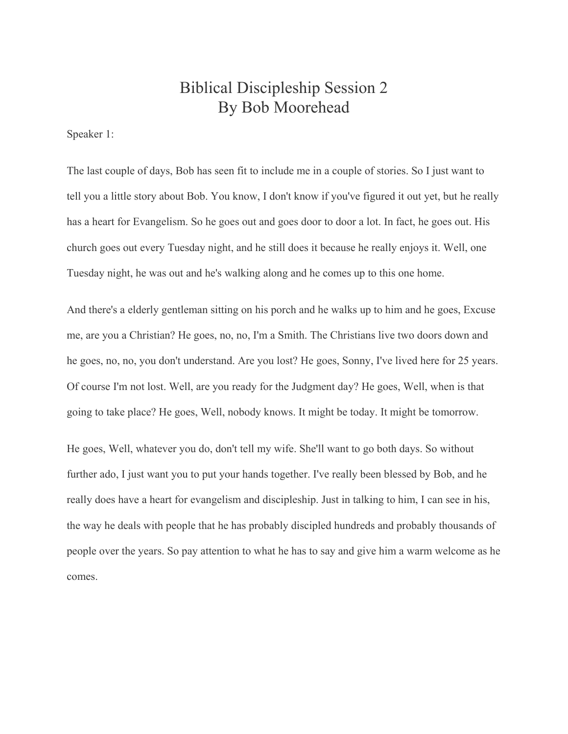## Biblical Discipleship Session 2 By Bob Moorehead

Speaker 1:

The last couple of days, Bob has seen fit to include me in a couple of stories. So I just want to tell you a little story about Bob. You know, I don't know if you've figured it out yet, but he really has a heart for Evangelism. So he goes out and goes door to door a lot. In fact, he goes out. His church goes out every Tuesday night, and he still does it because he really enjoys it. Well, one Tuesday night, he was out and he's walking along and he comes up to this one home.

And there's a elderly gentleman sitting on his porch and he walks up to him and he goes, Excuse me, are you a Christian? He goes, no, no, I'm a Smith. The Christians live two doors down and he goes, no, no, you don't understand. Are you lost? He goes, Sonny, I've lived here for 25 years. Of course I'm not lost. Well, are you ready for the Judgment day? He goes, Well, when is that going to take place? He goes, Well, nobody knows. It might be today. It might be tomorrow.

He goes, Well, whatever you do, don't tell my wife. She'll want to go both days. So without further ado, I just want you to put your hands together. I've really been blessed by Bob, and he really does have a heart for evangelism and discipleship. Just in talking to him, I can see in his, the way he deals with people that he has probably discipled hundreds and probably thousands of people over the years. So pay attention to what he has to say and give him a warm welcome as he comes.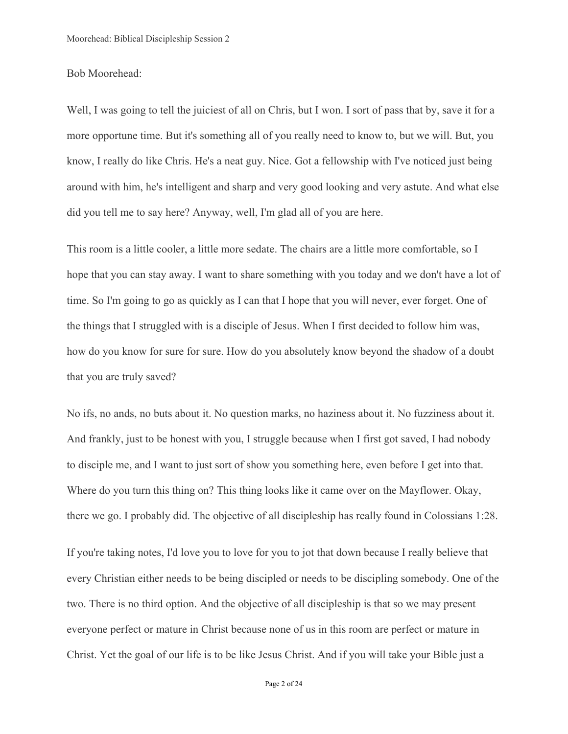## Bob Moorehead:

Well, I was going to tell the juiciest of all on Chris, but I won. I sort of pass that by, save it for a more opportune time. But it's something all of you really need to know to, but we will. But, you know, I really do like Chris. He's a neat guy. Nice. Got a fellowship with I've noticed just being around with him, he's intelligent and sharp and very good looking and very astute. And what else did you tell me to say here? Anyway, well, I'm glad all of you are here.

This room is a little cooler, a little more sedate. The chairs are a little more comfortable, so I hope that you can stay away. I want to share something with you today and we don't have a lot of time. So I'm going to go as quickly as I can that I hope that you will never, ever forget. One of the things that I struggled with is a disciple of Jesus. When I first decided to follow him was, how do you know for sure for sure. How do you absolutely know beyond the shadow of a doubt that you are truly saved?

No ifs, no ands, no buts about it. No question marks, no haziness about it. No fuzziness about it. And frankly, just to be honest with you, I struggle because when I first got saved, I had nobody to disciple me, and I want to just sort of show you something here, even before I get into that. Where do you turn this thing on? This thing looks like it came over on the Mayflower. Okay, there we go. I probably did. The objective of all discipleship has really found in Colossians 1:28.

If you're taking notes, I'd love you to love for you to jot that down because I really believe that every Christian either needs to be being discipled or needs to be discipling somebody. One of the two. There is no third option. And the objective of all discipleship is that so we may present everyone perfect or mature in Christ because none of us in this room are perfect or mature in Christ. Yet the goal of our life is to be like Jesus Christ. And if you will take your Bible just a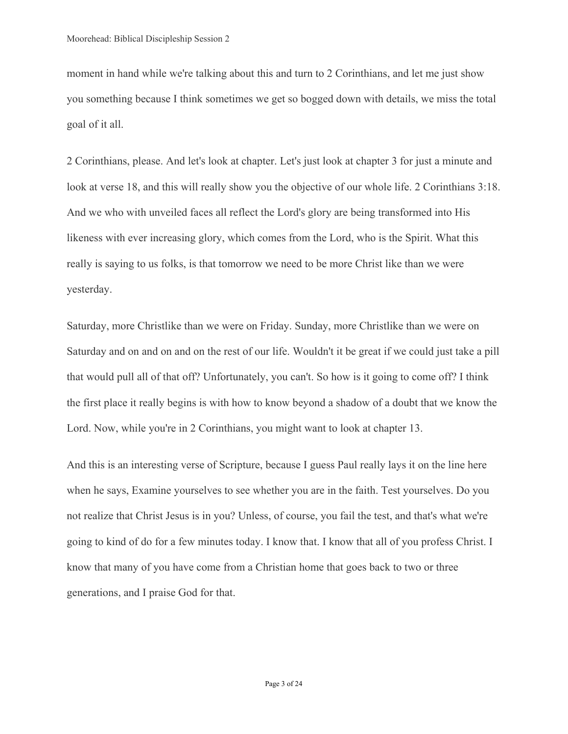moment in hand while we're talking about this and turn to 2 Corinthians, and let me just show you something because I think sometimes we get so bogged down with details, we miss the total goal of it all.

2 Corinthians, please. And let's look at chapter. Let's just look at chapter 3 for just a minute and look at verse 18, and this will really show you the objective of our whole life. 2 Corinthians 3:18. And we who with unveiled faces all reflect the Lord's glory are being transformed into His likeness with ever increasing glory, which comes from the Lord, who is the Spirit. What this really is saying to us folks, is that tomorrow we need to be more Christ like than we were yesterday.

Saturday, more Christlike than we were on Friday. Sunday, more Christlike than we were on Saturday and on and on and on the rest of our life. Wouldn't it be great if we could just take a pill that would pull all of that off? Unfortunately, you can't. So how is it going to come off? I think the first place it really begins is with how to know beyond a shadow of a doubt that we know the Lord. Now, while you're in 2 Corinthians, you might want to look at chapter 13.

And this is an interesting verse of Scripture, because I guess Paul really lays it on the line here when he says, Examine yourselves to see whether you are in the faith. Test yourselves. Do you not realize that Christ Jesus is in you? Unless, of course, you fail the test, and that's what we're going to kind of do for a few minutes today. I know that. I know that all of you profess Christ. I know that many of you have come from a Christian home that goes back to two or three generations, and I praise God for that.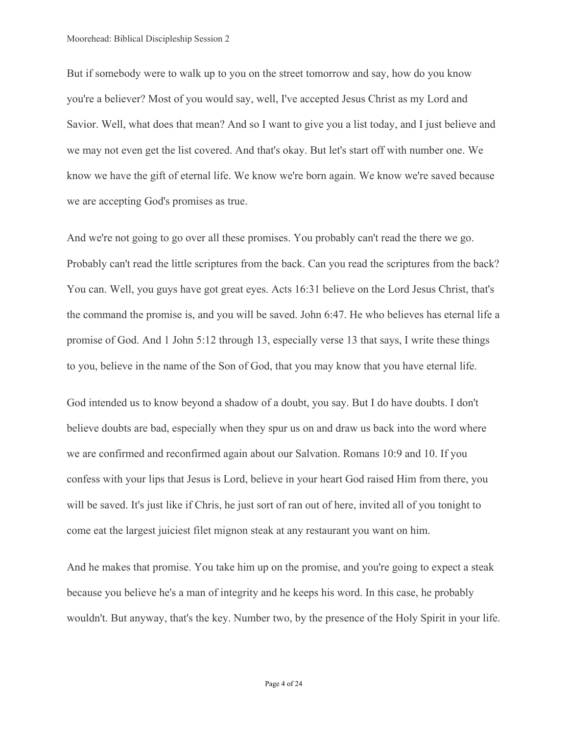But if somebody were to walk up to you on the street tomorrow and say, how do you know you're a believer? Most of you would say, well, I've accepted Jesus Christ as my Lord and Savior. Well, what does that mean? And so I want to give you a list today, and I just believe and we may not even get the list covered. And that's okay. But let's start off with number one. We know we have the gift of eternal life. We know we're born again. We know we're saved because we are accepting God's promises as true.

And we're not going to go over all these promises. You probably can't read the there we go. Probably can't read the little scriptures from the back. Can you read the scriptures from the back? You can. Well, you guys have got great eyes. Acts 16:31 believe on the Lord Jesus Christ, that's the command the promise is, and you will be saved. John 6:47. He who believes has eternal life a promise of God. And 1 John 5:12 through 13, especially verse 13 that says, I write these things to you, believe in the name of the Son of God, that you may know that you have eternal life.

God intended us to know beyond a shadow of a doubt, you say. But I do have doubts. I don't believe doubts are bad, especially when they spur us on and draw us back into the word where we are confirmed and reconfirmed again about our Salvation. Romans 10:9 and 10. If you confess with your lips that Jesus is Lord, believe in your heart God raised Him from there, you will be saved. It's just like if Chris, he just sort of ran out of here, invited all of you tonight to come eat the largest juiciest filet mignon steak at any restaurant you want on him.

And he makes that promise. You take him up on the promise, and you're going to expect a steak because you believe he's a man of integrity and he keeps his word. In this case, he probably wouldn't. But anyway, that's the key. Number two, by the presence of the Holy Spirit in your life.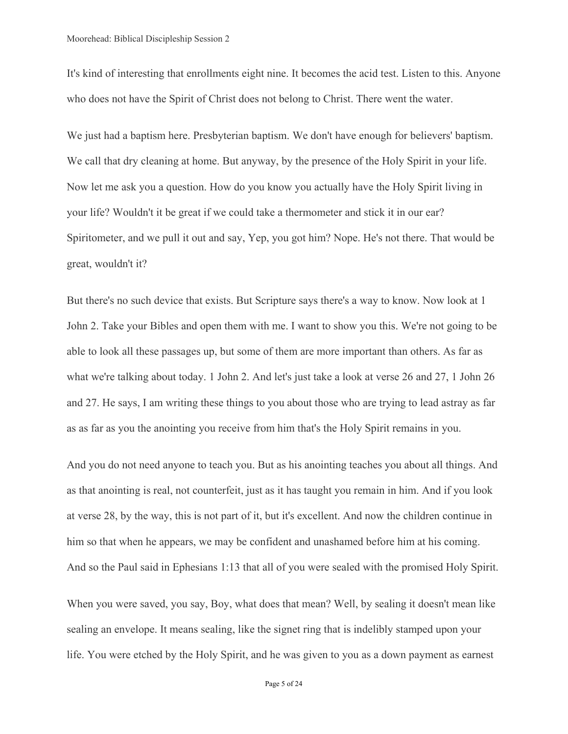It's kind of interesting that enrollments eight nine. It becomes the acid test. Listen to this. Anyone who does not have the Spirit of Christ does not belong to Christ. There went the water.

We just had a baptism here. Presbyterian baptism. We don't have enough for believers' baptism. We call that dry cleaning at home. But anyway, by the presence of the Holy Spirit in your life. Now let me ask you a question. How do you know you actually have the Holy Spirit living in your life? Wouldn't it be great if we could take a thermometer and stick it in our ear? Spiritometer, and we pull it out and say, Yep, you got him? Nope. He's not there. That would be great, wouldn't it?

But there's no such device that exists. But Scripture says there's a way to know. Now look at 1 John 2. Take your Bibles and open them with me. I want to show you this. We're not going to be able to look all these passages up, but some of them are more important than others. As far as what we're talking about today. 1 John 2. And let's just take a look at verse 26 and 27, 1 John 26 and 27. He says, I am writing these things to you about those who are trying to lead astray as far as as far as you the anointing you receive from him that's the Holy Spirit remains in you.

And you do not need anyone to teach you. But as his anointing teaches you about all things. And as that anointing is real, not counterfeit, just as it has taught you remain in him. And if you look at verse 28, by the way, this is not part of it, but it's excellent. And now the children continue in him so that when he appears, we may be confident and unashamed before him at his coming. And so the Paul said in Ephesians 1:13 that all of you were sealed with the promised Holy Spirit.

When you were saved, you say, Boy, what does that mean? Well, by sealing it doesn't mean like sealing an envelope. It means sealing, like the signet ring that is indelibly stamped upon your life. You were etched by the Holy Spirit, and he was given to you as a down payment as earnest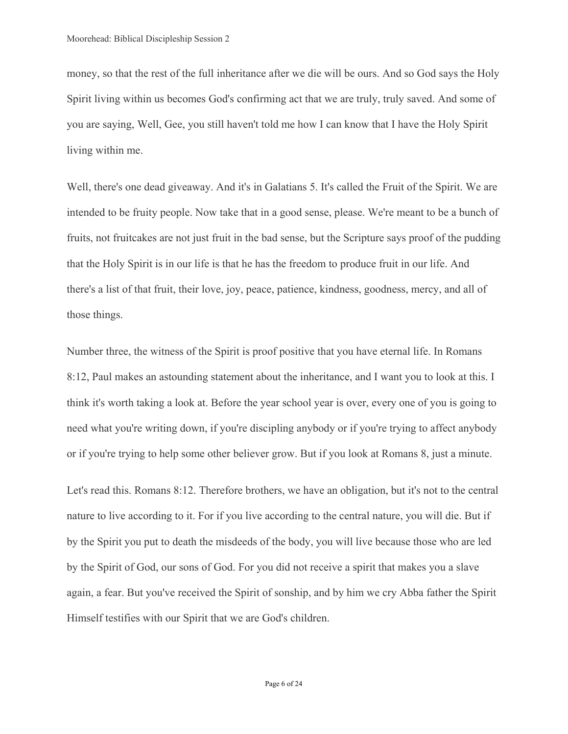money, so that the rest of the full inheritance after we die will be ours. And so God says the Holy Spirit living within us becomes God's confirming act that we are truly, truly saved. And some of you are saying, Well, Gee, you still haven't told me how I can know that I have the Holy Spirit living within me.

Well, there's one dead giveaway. And it's in Galatians 5. It's called the Fruit of the Spirit. We are intended to be fruity people. Now take that in a good sense, please. We're meant to be a bunch of fruits, not fruitcakes are not just fruit in the bad sense, but the Scripture says proof of the pudding that the Holy Spirit is in our life is that he has the freedom to produce fruit in our life. And there's a list of that fruit, their love, joy, peace, patience, kindness, goodness, mercy, and all of those things.

Number three, the witness of the Spirit is proof positive that you have eternal life. In Romans 8:12, Paul makes an astounding statement about the inheritance, and I want you to look at this. I think it's worth taking a look at. Before the year school year is over, every one of you is going to need what you're writing down, if you're discipling anybody or if you're trying to affect anybody or if you're trying to help some other believer grow. But if you look at Romans 8, just a minute.

Let's read this. Romans 8:12. Therefore brothers, we have an obligation, but it's not to the central nature to live according to it. For if you live according to the central nature, you will die. But if by the Spirit you put to death the misdeeds of the body, you will live because those who are led by the Spirit of God, our sons of God. For you did not receive a spirit that makes you a slave again, a fear. But you've received the Spirit of sonship, and by him we cry Abba father the Spirit Himself testifies with our Spirit that we are God's children.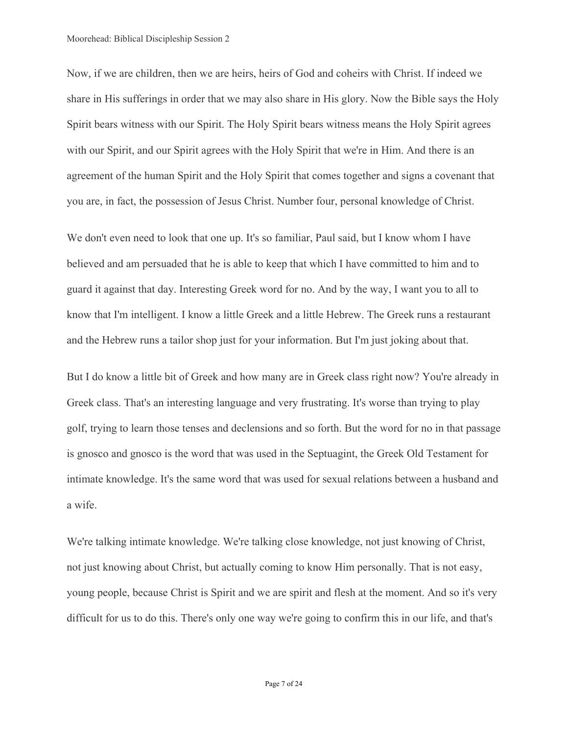Now, if we are children, then we are heirs, heirs of God and coheirs with Christ. If indeed we share in His sufferings in order that we may also share in His glory. Now the Bible says the Holy Spirit bears witness with our Spirit. The Holy Spirit bears witness means the Holy Spirit agrees with our Spirit, and our Spirit agrees with the Holy Spirit that we're in Him. And there is an agreement of the human Spirit and the Holy Spirit that comes together and signs a covenant that you are, in fact, the possession of Jesus Christ. Number four, personal knowledge of Christ.

We don't even need to look that one up. It's so familiar, Paul said, but I know whom I have believed and am persuaded that he is able to keep that which I have committed to him and to guard it against that day. Interesting Greek word for no. And by the way, I want you to all to know that I'm intelligent. I know a little Greek and a little Hebrew. The Greek runs a restaurant and the Hebrew runs a tailor shop just for your information. But I'm just joking about that.

But I do know a little bit of Greek and how many are in Greek class right now? You're already in Greek class. That's an interesting language and very frustrating. It's worse than trying to play golf, trying to learn those tenses and declensions and so forth. But the word for no in that passage is gnosco and gnosco is the word that was used in the Septuagint, the Greek Old Testament for intimate knowledge. It's the same word that was used for sexual relations between a husband and a wife.

We're talking intimate knowledge. We're talking close knowledge, not just knowing of Christ, not just knowing about Christ, but actually coming to know Him personally. That is not easy, young people, because Christ is Spirit and we are spirit and flesh at the moment. And so it's very difficult for us to do this. There's only one way we're going to confirm this in our life, and that's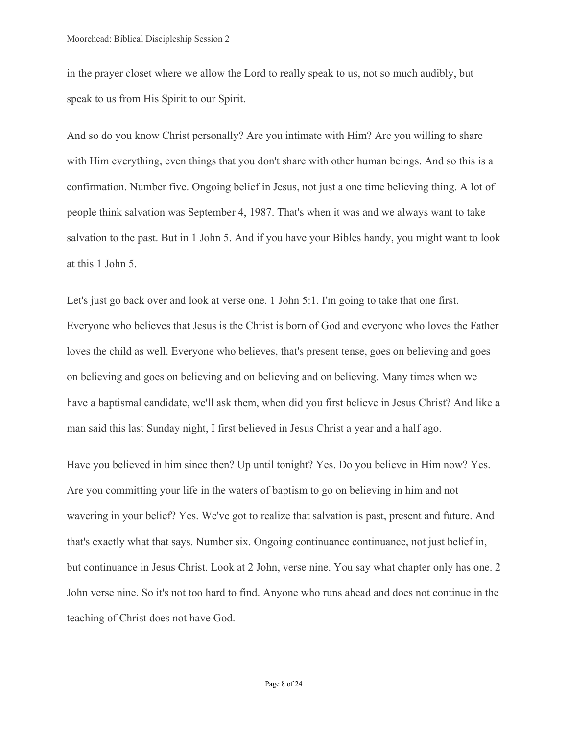in the prayer closet where we allow the Lord to really speak to us, not so much audibly, but speak to us from His Spirit to our Spirit.

And so do you know Christ personally? Are you intimate with Him? Are you willing to share with Him everything, even things that you don't share with other human beings. And so this is a confirmation. Number five. Ongoing belief in Jesus, not just a one time believing thing. A lot of people think salvation was September 4, 1987. That's when it was and we always want to take salvation to the past. But in 1 John 5. And if you have your Bibles handy, you might want to look at this 1 John 5.

Let's just go back over and look at verse one. 1 John 5:1. I'm going to take that one first. Everyone who believes that Jesus is the Christ is born of God and everyone who loves the Father loves the child as well. Everyone who believes, that's present tense, goes on believing and goes on believing and goes on believing and on believing and on believing. Many times when we have a baptismal candidate, we'll ask them, when did you first believe in Jesus Christ? And like a man said this last Sunday night, I first believed in Jesus Christ a year and a half ago.

Have you believed in him since then? Up until tonight? Yes. Do you believe in Him now? Yes. Are you committing your life in the waters of baptism to go on believing in him and not wavering in your belief? Yes. We've got to realize that salvation is past, present and future. And that's exactly what that says. Number six. Ongoing continuance continuance, not just belief in, but continuance in Jesus Christ. Look at 2 John, verse nine. You say what chapter only has one. 2 John verse nine. So it's not too hard to find. Anyone who runs ahead and does not continue in the teaching of Christ does not have God.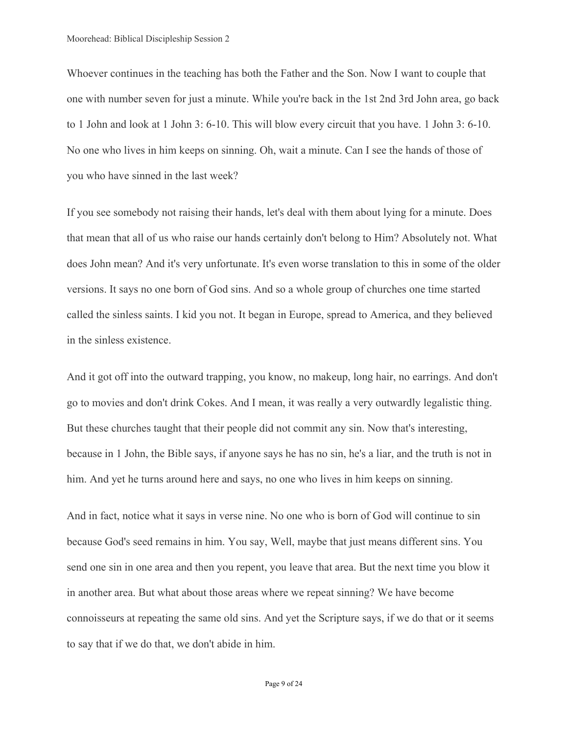Whoever continues in the teaching has both the Father and the Son. Now I want to couple that one with number seven for just a minute. While you're back in the 1st 2nd 3rd John area, go back to 1 John and look at 1 John 3: 6-10. This will blow every circuit that you have. 1 John 3: 6-10. No one who lives in him keeps on sinning. Oh, wait a minute. Can I see the hands of those of you who have sinned in the last week?

If you see somebody not raising their hands, let's deal with them about lying for a minute. Does that mean that all of us who raise our hands certainly don't belong to Him? Absolutely not. What does John mean? And it's very unfortunate. It's even worse translation to this in some of the older versions. It says no one born of God sins. And so a whole group of churches one time started called the sinless saints. I kid you not. It began in Europe, spread to America, and they believed in the sinless existence.

And it got off into the outward trapping, you know, no makeup, long hair, no earrings. And don't go to movies and don't drink Cokes. And I mean, it was really a very outwardly legalistic thing. But these churches taught that their people did not commit any sin. Now that's interesting, because in 1 John, the Bible says, if anyone says he has no sin, he's a liar, and the truth is not in him. And yet he turns around here and says, no one who lives in him keeps on sinning.

And in fact, notice what it says in verse nine. No one who is born of God will continue to sin because God's seed remains in him. You say, Well, maybe that just means different sins. You send one sin in one area and then you repent, you leave that area. But the next time you blow it in another area. But what about those areas where we repeat sinning? We have become connoisseurs at repeating the same old sins. And yet the Scripture says, if we do that or it seems to say that if we do that, we don't abide in him.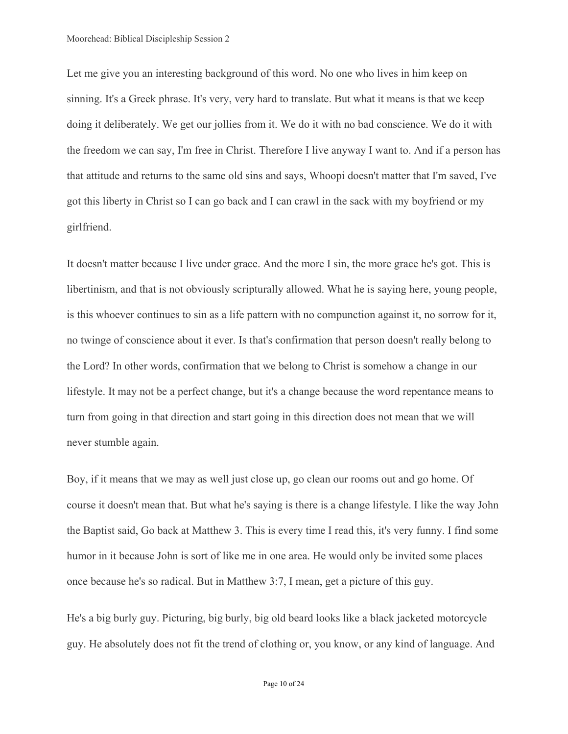Let me give you an interesting background of this word. No one who lives in him keep on sinning. It's a Greek phrase. It's very, very hard to translate. But what it means is that we keep doing it deliberately. We get our jollies from it. We do it with no bad conscience. We do it with the freedom we can say, I'm free in Christ. Therefore I live anyway I want to. And if a person has that attitude and returns to the same old sins and says, Whoopi doesn't matter that I'm saved, I've got this liberty in Christ so I can go back and I can crawl in the sack with my boyfriend or my girlfriend.

It doesn't matter because I live under grace. And the more I sin, the more grace he's got. This is libertinism, and that is not obviously scripturally allowed. What he is saying here, young people, is this whoever continues to sin as a life pattern with no compunction against it, no sorrow for it, no twinge of conscience about it ever. Is that's confirmation that person doesn't really belong to the Lord? In other words, confirmation that we belong to Christ is somehow a change in our lifestyle. It may not be a perfect change, but it's a change because the word repentance means to turn from going in that direction and start going in this direction does not mean that we will never stumble again.

Boy, if it means that we may as well just close up, go clean our rooms out and go home. Of course it doesn't mean that. But what he's saying is there is a change lifestyle. I like the way John the Baptist said, Go back at Matthew 3. This is every time I read this, it's very funny. I find some humor in it because John is sort of like me in one area. He would only be invited some places once because he's so radical. But in Matthew 3:7, I mean, get a picture of this guy.

He's a big burly guy. Picturing, big burly, big old beard looks like a black jacketed motorcycle guy. He absolutely does not fit the trend of clothing or, you know, or any kind of language. And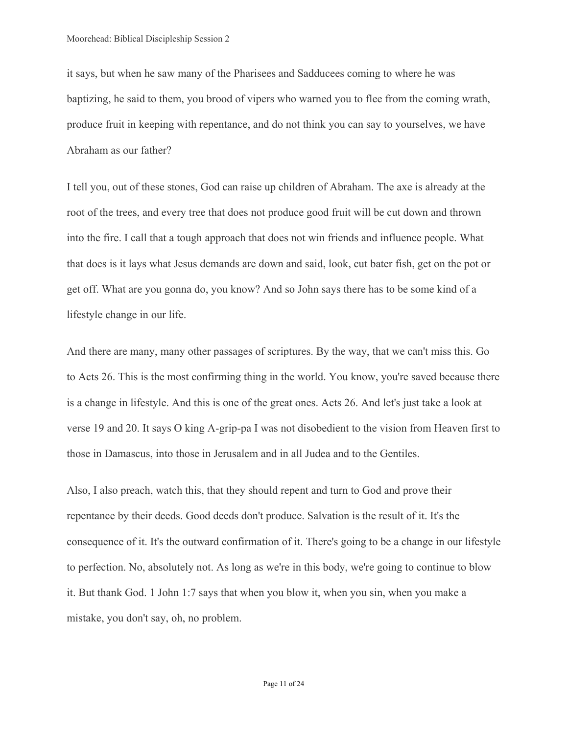it says, but when he saw many of the Pharisees and Sadducees coming to where he was baptizing, he said to them, you brood of vipers who warned you to flee from the coming wrath, produce fruit in keeping with repentance, and do not think you can say to yourselves, we have Abraham as our father?

I tell you, out of these stones, God can raise up children of Abraham. The axe is already at the root of the trees, and every tree that does not produce good fruit will be cut down and thrown into the fire. I call that a tough approach that does not win friends and influence people. What that does is it lays what Jesus demands are down and said, look, cut bater fish, get on the pot or get off. What are you gonna do, you know? And so John says there has to be some kind of a lifestyle change in our life.

And there are many, many other passages of scriptures. By the way, that we can't miss this. Go to Acts 26. This is the most confirming thing in the world. You know, you're saved because there is a change in lifestyle. And this is one of the great ones. Acts 26. And let's just take a look at verse 19 and 20. It says O king A-grip-pa I was not disobedient to the vision from Heaven first to those in Damascus, into those in Jerusalem and in all Judea and to the Gentiles.

Also, I also preach, watch this, that they should repent and turn to God and prove their repentance by their deeds. Good deeds don't produce. Salvation is the result of it. It's the consequence of it. It's the outward confirmation of it. There's going to be a change in our lifestyle to perfection. No, absolutely not. As long as we're in this body, we're going to continue to blow it. But thank God. 1 John 1:7 says that when you blow it, when you sin, when you make a mistake, you don't say, oh, no problem.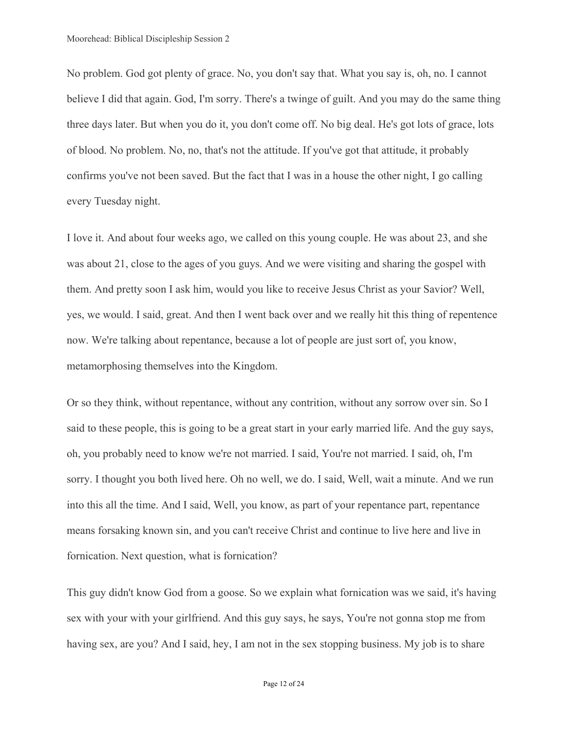No problem. God got plenty of grace. No, you don't say that. What you say is, oh, no. I cannot believe I did that again. God, I'm sorry. There's a twinge of guilt. And you may do the same thing three days later. But when you do it, you don't come off. No big deal. He's got lots of grace, lots of blood. No problem. No, no, that's not the attitude. If you've got that attitude, it probably confirms you've not been saved. But the fact that I was in a house the other night, I go calling every Tuesday night.

I love it. And about four weeks ago, we called on this young couple. He was about 23, and she was about 21, close to the ages of you guys. And we were visiting and sharing the gospel with them. And pretty soon I ask him, would you like to receive Jesus Christ as your Savior? Well, yes, we would. I said, great. And then I went back over and we really hit this thing of repentence now. We're talking about repentance, because a lot of people are just sort of, you know, metamorphosing themselves into the Kingdom.

Or so they think, without repentance, without any contrition, without any sorrow over sin. So I said to these people, this is going to be a great start in your early married life. And the guy says, oh, you probably need to know we're not married. I said, You're not married. I said, oh, I'm sorry. I thought you both lived here. Oh no well, we do. I said, Well, wait a minute. And we run into this all the time. And I said, Well, you know, as part of your repentance part, repentance means forsaking known sin, and you can't receive Christ and continue to live here and live in fornication. Next question, what is fornication?

This guy didn't know God from a goose. So we explain what fornication was we said, it's having sex with your with your girlfriend. And this guy says, he says, You're not gonna stop me from having sex, are you? And I said, hey, I am not in the sex stopping business. My job is to share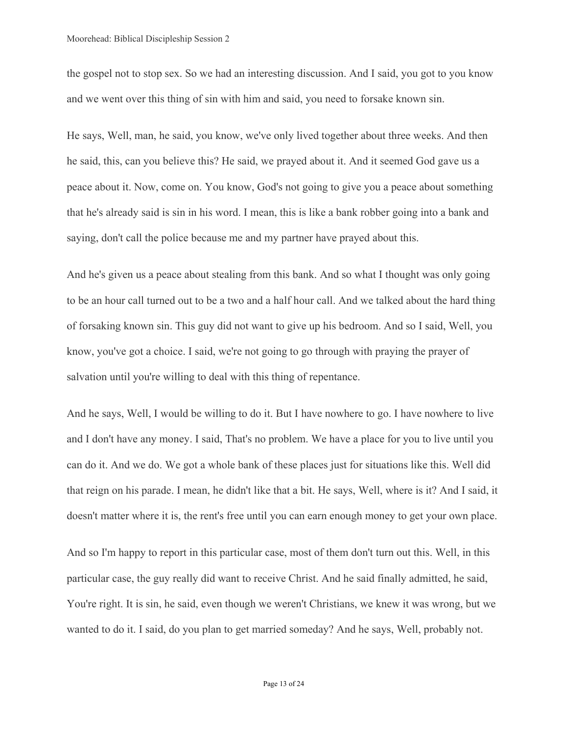the gospel not to stop sex. So we had an interesting discussion. And I said, you got to you know and we went over this thing of sin with him and said, you need to forsake known sin.

He says, Well, man, he said, you know, we've only lived together about three weeks. And then he said, this, can you believe this? He said, we prayed about it. And it seemed God gave us a peace about it. Now, come on. You know, God's not going to give you a peace about something that he's already said is sin in his word. I mean, this is like a bank robber going into a bank and saying, don't call the police because me and my partner have prayed about this.

And he's given us a peace about stealing from this bank. And so what I thought was only going to be an hour call turned out to be a two and a half hour call. And we talked about the hard thing of forsaking known sin. This guy did not want to give up his bedroom. And so I said, Well, you know, you've got a choice. I said, we're not going to go through with praying the prayer of salvation until you're willing to deal with this thing of repentance.

And he says, Well, I would be willing to do it. But I have nowhere to go. I have nowhere to live and I don't have any money. I said, That's no problem. We have a place for you to live until you can do it. And we do. We got a whole bank of these places just for situations like this. Well did that reign on his parade. I mean, he didn't like that a bit. He says, Well, where is it? And I said, it doesn't matter where it is, the rent's free until you can earn enough money to get your own place.

And so I'm happy to report in this particular case, most of them don't turn out this. Well, in this particular case, the guy really did want to receive Christ. And he said finally admitted, he said, You're right. It is sin, he said, even though we weren't Christians, we knew it was wrong, but we wanted to do it. I said, do you plan to get married someday? And he says, Well, probably not.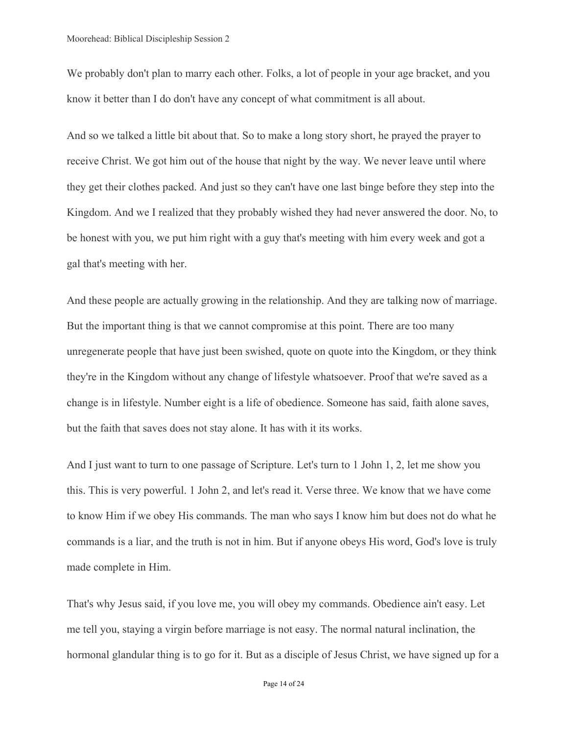We probably don't plan to marry each other. Folks, a lot of people in your age bracket, and you know it better than I do don't have any concept of what commitment is all about.

And so we talked a little bit about that. So to make a long story short, he prayed the prayer to receive Christ. We got him out of the house that night by the way. We never leave until where they get their clothes packed. And just so they can't have one last binge before they step into the Kingdom. And we I realized that they probably wished they had never answered the door. No, to be honest with you, we put him right with a guy that's meeting with him every week and got a gal that's meeting with her.

And these people are actually growing in the relationship. And they are talking now of marriage. But the important thing is that we cannot compromise at this point. There are too many unregenerate people that have just been swished, quote on quote into the Kingdom, or they think they're in the Kingdom without any change of lifestyle whatsoever. Proof that we're saved as a change is in lifestyle. Number eight is a life of obedience. Someone has said, faith alone saves, but the faith that saves does not stay alone. It has with it its works.

And I just want to turn to one passage of Scripture. Let's turn to 1 John 1, 2, let me show you this. This is very powerful. 1 John 2, and let's read it. Verse three. We know that we have come to know Him if we obey His commands. The man who says I know him but does not do what he commands is a liar, and the truth is not in him. But if anyone obeys His word, God's love is truly made complete in Him.

That's why Jesus said, if you love me, you will obey my commands. Obedience ain't easy. Let me tell you, staying a virgin before marriage is not easy. The normal natural inclination, the hormonal glandular thing is to go for it. But as a disciple of Jesus Christ, we have signed up for a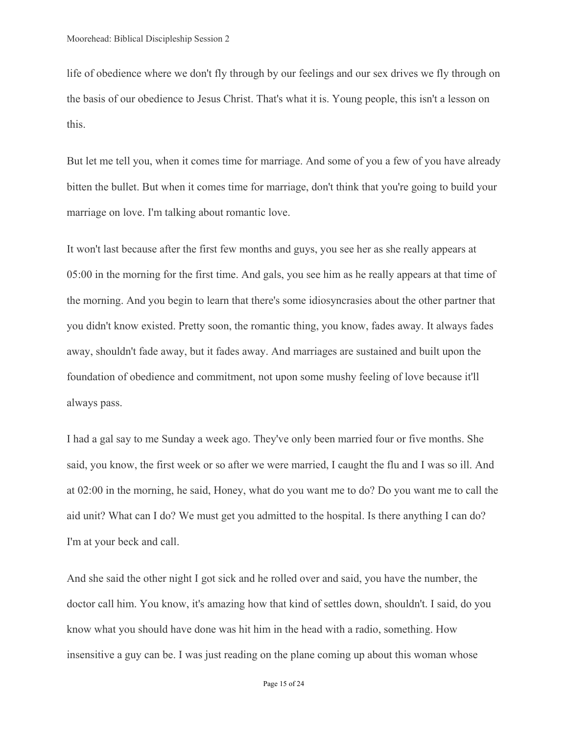life of obedience where we don't fly through by our feelings and our sex drives we fly through on the basis of our obedience to Jesus Christ. That's what it is. Young people, this isn't a lesson on this.

But let me tell you, when it comes time for marriage. And some of you a few of you have already bitten the bullet. But when it comes time for marriage, don't think that you're going to build your marriage on love. I'm talking about romantic love.

It won't last because after the first few months and guys, you see her as she really appears at 05:00 in the morning for the first time. And gals, you see him as he really appears at that time of the morning. And you begin to learn that there's some idiosyncrasies about the other partner that you didn't know existed. Pretty soon, the romantic thing, you know, fades away. It always fades away, shouldn't fade away, but it fades away. And marriages are sustained and built upon the foundation of obedience and commitment, not upon some mushy feeling of love because it'll always pass.

I had a gal say to me Sunday a week ago. They've only been married four or five months. She said, you know, the first week or so after we were married, I caught the flu and I was so ill. And at 02:00 in the morning, he said, Honey, what do you want me to do? Do you want me to call the aid unit? What can I do? We must get you admitted to the hospital. Is there anything I can do? I'm at your beck and call.

And she said the other night I got sick and he rolled over and said, you have the number, the doctor call him. You know, it's amazing how that kind of settles down, shouldn't. I said, do you know what you should have done was hit him in the head with a radio, something. How insensitive a guy can be. I was just reading on the plane coming up about this woman whose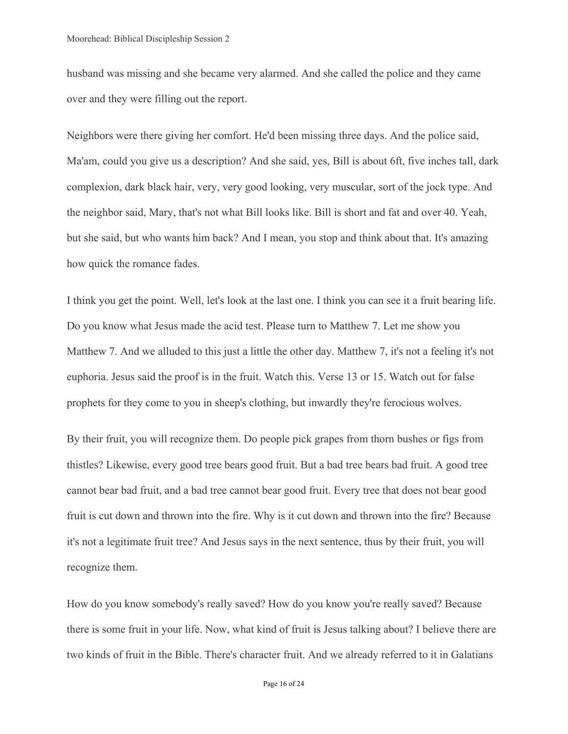husband was missing and she became very alarmed. And she called the police and they came over and they were filling out the report.

Neighbors were there giving her comfort. He'd been missing three days. And the police said, Ma'am, could you give us a description? And she said, yes, Bill is about 6ft, five inches tall, dark complexion, dark black hair, very, very good looking, very muscular, sort of the jock type. And the neighbor said, Mary, that's not what Bill looks like. Bill is short and fat and over 40. Yeah, but she said, but who wants him back? And I mean, you stop and think about that. It's amazing how quick the romance fades.

I think you get the point. Well, let's look at the last one. I think you can see it a fruit bearing life. Do you know what Jesus made the acid test. Please turn to Matthew 7. Let me show you Matthew 7. And we alluded to this just a little the other day. Matthew 7, it's not a feeling it's not euphoria. Jesus said the proof is in the fruit. Watch this. Verse 13 or 15. Watch out for false prophets for they come to you in sheep's clothing, but inwardly they're ferocious wolves.

By their fruit, you will recognize them. Do people pick grapes from thorn bushes or figs from thistles? Likewise, every good tree bears good fruit. But a bad tree bears bad fruit. A good tree cannot bear bad fruit, and a bad tree cannot bear good fruit. Every tree that does not bear good fruit is cut down and thrown into the fire. Why is it cut down and thrown into the fire? Because it's not a legitimate fruit tree? And Jesus says in the next sentence, thus by their fruit, you will recognize them.

How do you know somebody's really saved? How do you know you're really saved? Because there is some fruit in your life. Now, what kind of fruit is Jesus talking about? I believe there are two kinds of fruit in the Bible. There's character fruit. And we already referred to it in Galatians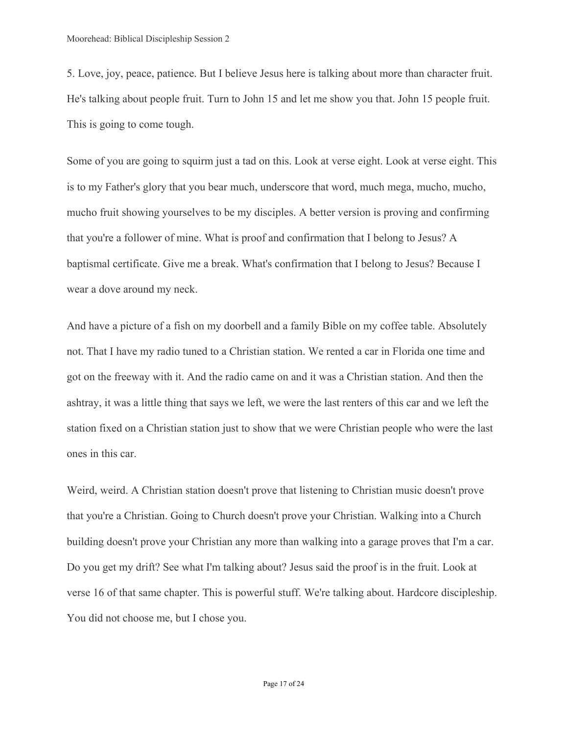5. Love, joy, peace, patience. But I believe Jesus here is talking about more than character fruit. He's talking about people fruit. Turn to John 15 and let me show you that. John 15 people fruit. This is going to come tough.

Some of you are going to squirm just a tad on this. Look at verse eight. Look at verse eight. This is to my Father's glory that you bear much, underscore that word, much mega, mucho, mucho, mucho fruit showing yourselves to be my disciples. A better version is proving and confirming that you're a follower of mine. What is proof and confirmation that I belong to Jesus? A baptismal certificate. Give me a break. What's confirmation that I belong to Jesus? Because I wear a dove around my neck.

And have a picture of a fish on my doorbell and a family Bible on my coffee table. Absolutely not. That I have my radio tuned to a Christian station. We rented a car in Florida one time and got on the freeway with it. And the radio came on and it was a Christian station. And then the ashtray, it was a little thing that says we left, we were the last renters of this car and we left the station fixed on a Christian station just to show that we were Christian people who were the last ones in this car.

Weird, weird. A Christian station doesn't prove that listening to Christian music doesn't prove that you're a Christian. Going to Church doesn't prove your Christian. Walking into a Church building doesn't prove your Christian any more than walking into a garage proves that I'm a car. Do you get my drift? See what I'm talking about? Jesus said the proof is in the fruit. Look at verse 16 of that same chapter. This is powerful stuff. We're talking about. Hardcore discipleship. You did not choose me, but I chose you.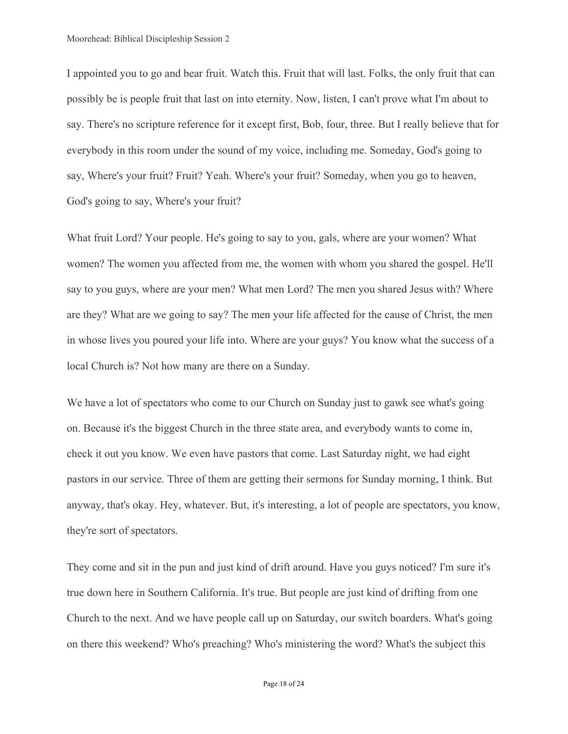I appointed you to go and bear fruit. Watch this. Fruit that will last. Folks, the only fruit that can possibly be is people fruit that last on into eternity. Now, listen, I can't prove what I'm about to say. There's no scripture reference for it except first, Bob, four, three. But I really believe that for everybody in this room under the sound of my voice, including me. Someday, God's going to say, Where's your fruit? Fruit? Yeah. Where's your fruit? Someday, when you go to heaven, God's going to say, Where's your fruit?

What fruit Lord? Your people. He's going to say to you, gals, where are your women? What women? The women you affected from me, the women with whom you shared the gospel. He'll say to you guys, where are your men? What men Lord? The men you shared Jesus with? Where are they? What are we going to say? The men your life affected for the cause of Christ, the men in whose lives you poured your life into. Where are your guys? You know what the success of a local Church is? Not how many are there on a Sunday.

We have a lot of spectators who come to our Church on Sunday just to gawk see what's going on. Because it's the biggest Church in the three state area, and everybody wants to come in, check it out you know. We even have pastors that come. Last Saturday night, we had eight pastors in our service. Three of them are getting their sermons for Sunday morning, I think. But anyway, that's okay. Hey, whatever. But, it's interesting, a lot of people are spectators, you know, they're sort of spectators.

They come and sit in the pun and just kind of drift around. Have you guys noticed? I'm sure it's true down here in Southern California. It's true. But people are just kind of drifting from one Church to the next. And we have people call up on Saturday, our switch boarders. What's going on there this weekend? Who's preaching? Who's ministering the word? What's the subject this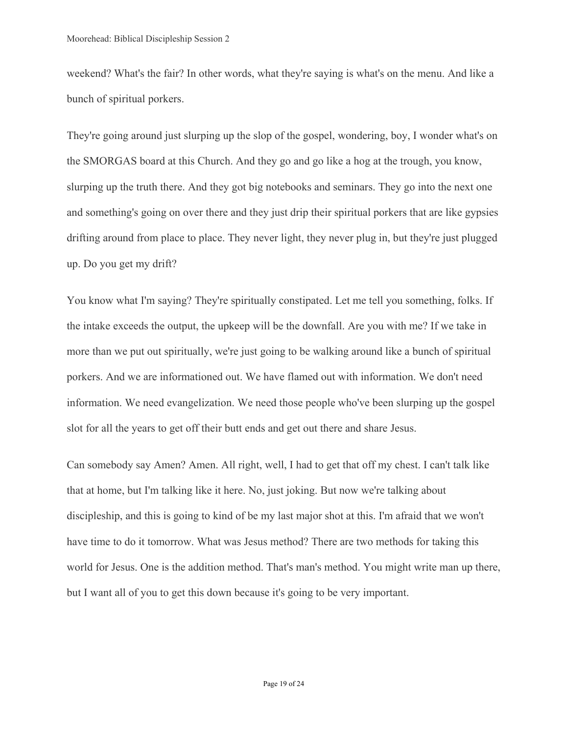weekend? What's the fair? In other words, what they're saying is what's on the menu. And like a bunch of spiritual porkers.

They're going around just slurping up the slop of the gospel, wondering, boy, I wonder what's on the SMORGAS board at this Church. And they go and go like a hog at the trough, you know, slurping up the truth there. And they got big notebooks and seminars. They go into the next one and something's going on over there and they just drip their spiritual porkers that are like gypsies drifting around from place to place. They never light, they never plug in, but they're just plugged up. Do you get my drift?

You know what I'm saying? They're spiritually constipated. Let me tell you something, folks. If the intake exceeds the output, the upkeep will be the downfall. Are you with me? If we take in more than we put out spiritually, we're just going to be walking around like a bunch of spiritual porkers. And we are informationed out. We have flamed out with information. We don't need information. We need evangelization. We need those people who've been slurping up the gospel slot for all the years to get off their butt ends and get out there and share Jesus.

Can somebody say Amen? Amen. All right, well, I had to get that off my chest. I can't talk like that at home, but I'm talking like it here. No, just joking. But now we're talking about discipleship, and this is going to kind of be my last major shot at this. I'm afraid that we won't have time to do it tomorrow. What was Jesus method? There are two methods for taking this world for Jesus. One is the addition method. That's man's method. You might write man up there, but I want all of you to get this down because it's going to be very important.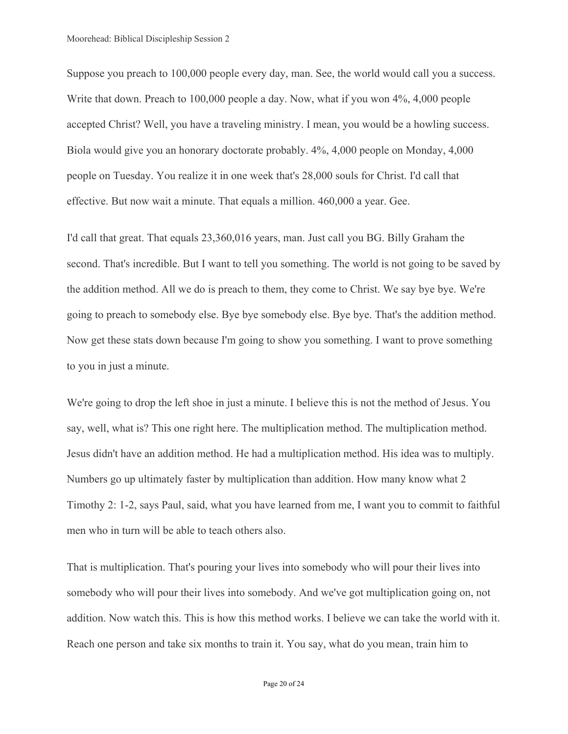Suppose you preach to 100,000 people every day, man. See, the world would call you a success. Write that down. Preach to 100,000 people a day. Now, what if you won 4%, 4,000 people accepted Christ? Well, you have a traveling ministry. I mean, you would be a howling success. Biola would give you an honorary doctorate probably. 4%, 4,000 people on Monday, 4,000 people on Tuesday. You realize it in one week that's 28,000 souls for Christ. I'd call that effective. But now wait a minute. That equals a million. 460,000 a year. Gee.

I'd call that great. That equals 23,360,016 years, man. Just call you BG. Billy Graham the second. That's incredible. But I want to tell you something. The world is not going to be saved by the addition method. All we do is preach to them, they come to Christ. We say bye bye. We're going to preach to somebody else. Bye bye somebody else. Bye bye. That's the addition method. Now get these stats down because I'm going to show you something. I want to prove something to you in just a minute.

We're going to drop the left shoe in just a minute. I believe this is not the method of Jesus. You say, well, what is? This one right here. The multiplication method. The multiplication method. Jesus didn't have an addition method. He had a multiplication method. His idea was to multiply. Numbers go up ultimately faster by multiplication than addition. How many know what 2 Timothy 2: 1-2, says Paul, said, what you have learned from me, I want you to commit to faithful men who in turn will be able to teach others also.

That is multiplication. That's pouring your lives into somebody who will pour their lives into somebody who will pour their lives into somebody. And we've got multiplication going on, not addition. Now watch this. This is how this method works. I believe we can take the world with it. Reach one person and take six months to train it. You say, what do you mean, train him to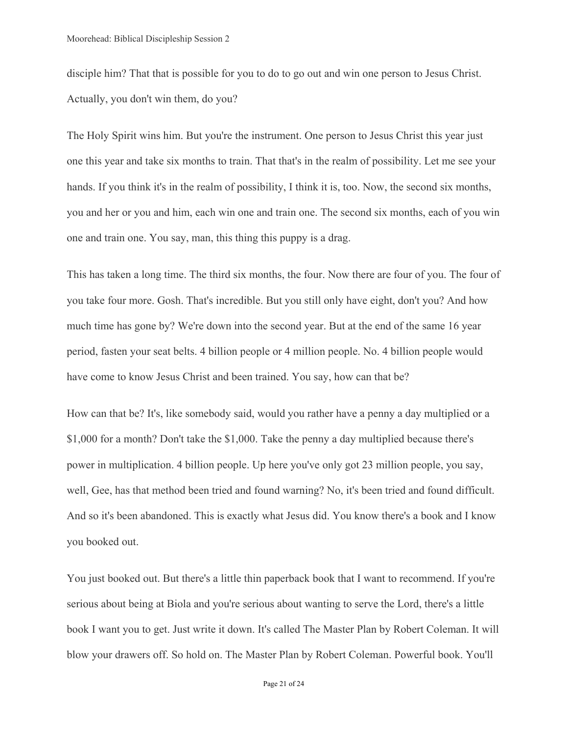disciple him? That that is possible for you to do to go out and win one person to Jesus Christ. Actually, you don't win them, do you?

The Holy Spirit wins him. But you're the instrument. One person to Jesus Christ this year just one this year and take six months to train. That that's in the realm of possibility. Let me see your hands. If you think it's in the realm of possibility, I think it is, too. Now, the second six months, you and her or you and him, each win one and train one. The second six months, each of you win one and train one. You say, man, this thing this puppy is a drag.

This has taken a long time. The third six months, the four. Now there are four of you. The four of you take four more. Gosh. That's incredible. But you still only have eight, don't you? And how much time has gone by? We're down into the second year. But at the end of the same 16 year period, fasten your seat belts. 4 billion people or 4 million people. No. 4 billion people would have come to know Jesus Christ and been trained. You say, how can that be?

How can that be? It's, like somebody said, would you rather have a penny a day multiplied or a \$1,000 for a month? Don't take the \$1,000. Take the penny a day multiplied because there's power in multiplication. 4 billion people. Up here you've only got 23 million people, you say, well, Gee, has that method been tried and found warning? No, it's been tried and found difficult. And so it's been abandoned. This is exactly what Jesus did. You know there's a book and I know you booked out.

You just booked out. But there's a little thin paperback book that I want to recommend. If you're serious about being at Biola and you're serious about wanting to serve the Lord, there's a little book I want you to get. Just write it down. It's called The Master Plan by Robert Coleman. It will blow your drawers off. So hold on. The Master Plan by Robert Coleman. Powerful book. You'll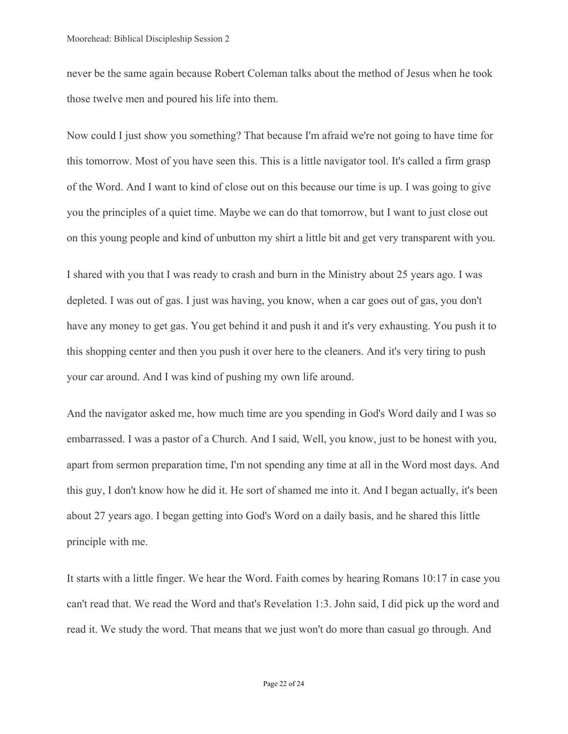never be the same again because Robert Coleman talks about the method of Jesus when he took those twelve men and poured his life into them.

Now could I just show you something? That because I'm afraid we're not going to have time for this tomorrow. Most of you have seen this. This is a little navigator tool. It's called a firm grasp of the Word. And I want to kind of close out on this because our time is up. I was going to give you the principles of a quiet time. Maybe we can do that tomorrow, but I want to just close out on this young people and kind of unbutton my shirt a little bit and get very transparent with you.

I shared with you that I was ready to crash and burn in the Ministry about 25 years ago. I was depleted. I was out of gas. I just was having, you know, when a car goes out of gas, you don't have any money to get gas. You get behind it and push it and it's very exhausting. You push it to this shopping center and then you push it over here to the cleaners. And it's very tiring to push your car around. And I was kind of pushing my own life around.

And the navigator asked me, how much time are you spending in God's Word daily and I was so embarrassed. I was a pastor of a Church. And I said, Well, you know, just to be honest with you, apart from sermon preparation time, I'm not spending any time at all in the Word most days. And this guy, I don't know how he did it. He sort of shamed me into it. And I began actually, it's been about 27 years ago. I began getting into God's Word on a daily basis, and he shared this little principle with me.

It starts with a little finger. We hear the Word. Faith comes by hearing Romans 10:17 in case you can't read that. We read the Word and that's Revelation 1:3. John said, I did pick up the word and read it. We study the word. That means that we just won't do more than casual go through. And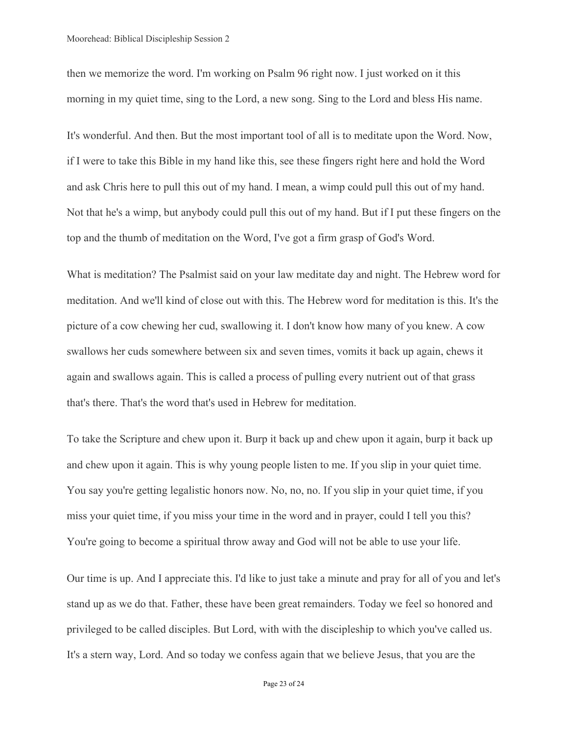then we memorize the word. I'm working on Psalm 96 right now. I just worked on it this morning in my quiet time, sing to the Lord, a new song. Sing to the Lord and bless His name.

It's wonderful. And then. But the most important tool of all is to meditate upon the Word. Now, if I were to take this Bible in my hand like this, see these fingers right here and hold the Word and ask Chris here to pull this out of my hand. I mean, a wimp could pull this out of my hand. Not that he's a wimp, but anybody could pull this out of my hand. But if I put these fingers on the top and the thumb of meditation on the Word, I've got a firm grasp of God's Word.

What is meditation? The Psalmist said on your law meditate day and night. The Hebrew word for meditation. And we'll kind of close out with this. The Hebrew word for meditation is this. It's the picture of a cow chewing her cud, swallowing it. I don't know how many of you knew. A cow swallows her cuds somewhere between six and seven times, vomits it back up again, chews it again and swallows again. This is called a process of pulling every nutrient out of that grass that's there. That's the word that's used in Hebrew for meditation.

To take the Scripture and chew upon it. Burp it back up and chew upon it again, burp it back up and chew upon it again. This is why young people listen to me. If you slip in your quiet time. You say you're getting legalistic honors now. No, no, no. If you slip in your quiet time, if you miss your quiet time, if you miss your time in the word and in prayer, could I tell you this? You're going to become a spiritual throw away and God will not be able to use your life.

Our time is up. And I appreciate this. I'd like to just take a minute and pray for all of you and let's stand up as we do that. Father, these have been great remainders. Today we feel so honored and privileged to be called disciples. But Lord, with with the discipleship to which you've called us. It's a stern way, Lord. And so today we confess again that we believe Jesus, that you are the